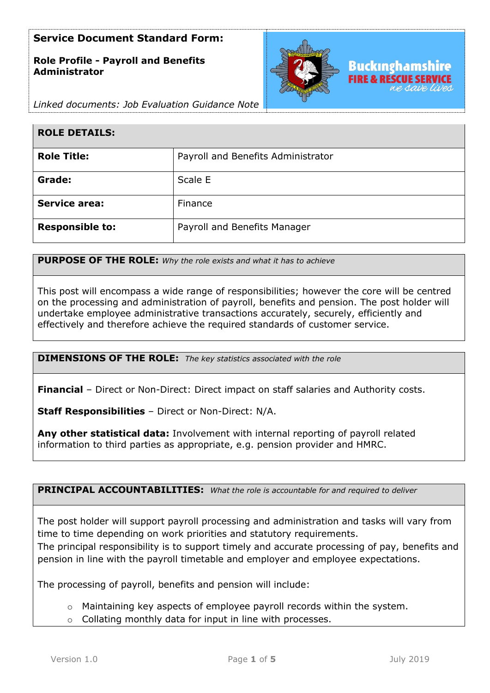# **Role Profile - Payroll and Benefits Administrator**



*Linked documents: Job Evaluation Guidance Note*

| <b>ROLE DETAILS:</b>   |                                    |
|------------------------|------------------------------------|
| <b>Role Title:</b>     | Payroll and Benefits Administrator |
| Grade:                 | Scale E                            |
| <b>Service area:</b>   | Finance                            |
| <b>Responsible to:</b> | Payroll and Benefits Manager       |

**PURPOSE OF THE ROLE:** *Why the role exists and what it has to achieve* 

This post will encompass a wide range of responsibilities; however the core will be centred on the processing and administration of payroll, benefits and pension. The post holder will undertake employee administrative transactions accurately, securely, efficiently and effectively and therefore achieve the required standards of customer service.

**DIMENSIONS OF THE ROLE:** *The key statistics associated with the role*

**Financial** – Direct or Non-Direct: Direct impact on staff salaries and Authority costs.

**Staff Responsibilities** – Direct or Non-Direct: N/A.

**Any other statistical data:** Involvement with internal reporting of payroll related information to third parties as appropriate, e.g. pension provider and HMRC.

**PRINCIPAL ACCOUNTABILITIES:** *What the role is accountable for and required to deliver*

The post holder will support payroll processing and administration and tasks will vary from time to time depending on work priorities and statutory requirements.

The principal responsibility is to support timely and accurate processing of pay, benefits and pension in line with the payroll timetable and employer and employee expectations.

The processing of payroll, benefits and pension will include:

- o Maintaining key aspects of employee payroll records within the system.
- o Collating monthly data for input in line with processes.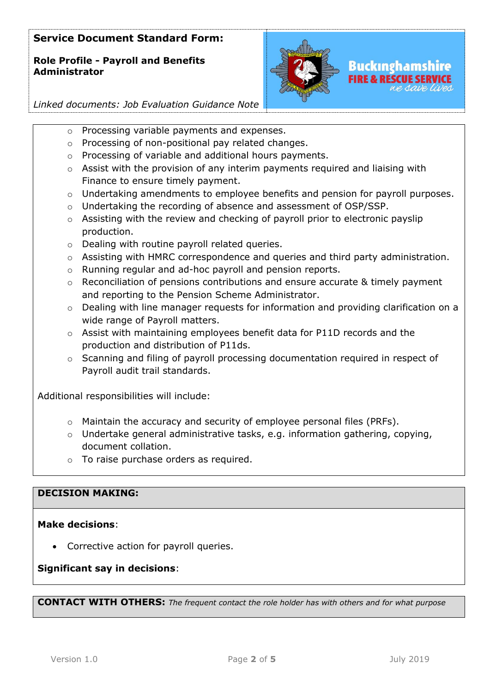# **Role Profile - Payroll and Benefits Administrator**



*Linked documents: Job Evaluation Guidance Note*

- o Processing variable payments and expenses.
- o Processing of non-positional pay related changes.
- o Processing of variable and additional hours payments.
- $\circ$  Assist with the provision of any interim payments required and liaising with Finance to ensure timely payment.
- $\circ$  Undertaking amendments to employee benefits and pension for payroll purposes.
- $\circ$  Undertaking the recording of absence and assessment of OSP/SSP.
- o Assisting with the review and checking of payroll prior to electronic payslip production.
- o Dealing with routine payroll related queries.
- o Assisting with HMRC correspondence and queries and third party administration.
- o Running regular and ad-hoc payroll and pension reports.
- $\circ$  Reconciliation of pensions contributions and ensure accurate & timely payment and reporting to the Pension Scheme Administrator.
- o Dealing with line manager requests for information and providing clarification on a wide range of Payroll matters.
- o Assist with maintaining employees benefit data for P11D records and the production and distribution of P11ds.
- o Scanning and filing of payroll processing documentation required in respect of Payroll audit trail standards.

Additional responsibilities will include:

- $\circ$  Maintain the accuracy and security of employee personal files (PRFs).
- o Undertake general administrative tasks, e.g. information gathering, copying, document collation.
- o To raise purchase orders as required.

# **DECISION MAKING:**

# **Make decisions**:

• Corrective action for payroll queries.

# **Significant say in decisions**:

**CONTACT WITH OTHERS:** *The frequent contact the role holder has with others and for what purpose*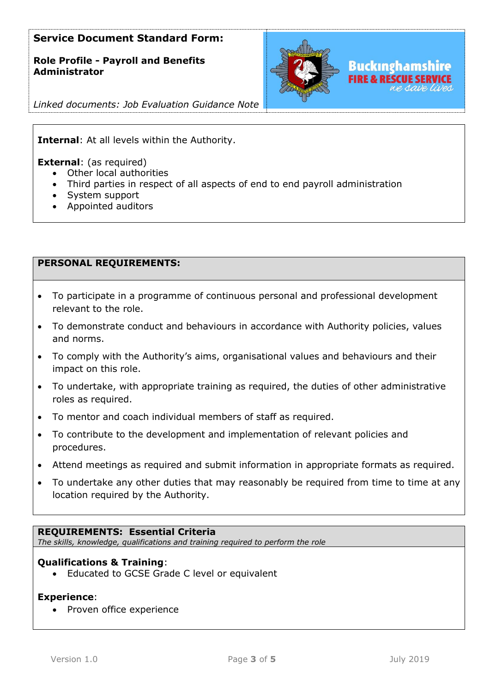**Role Profile - Payroll and Benefits Administrator**



*Linked documents: Job Evaluation Guidance Note*

### **Internal**: At all levels within the Authority.

**External**: (as required)

- Other local authorities
- Third parties in respect of all aspects of end to end payroll administration
- System support
- Appointed auditors

### **PERSONAL REQUIREMENTS:**

- To participate in a programme of continuous personal and professional development relevant to the role.
- To demonstrate conduct and behaviours in accordance with Authority policies, values and norms.
- To comply with the Authority's aims, organisational values and behaviours and their impact on this role.
- To undertake, with appropriate training as required, the duties of other administrative roles as required.
- To mentor and coach individual members of staff as required.
- To contribute to the development and implementation of relevant policies and procedures.
- Attend meetings as required and submit information in appropriate formats as required.
- To undertake any other duties that may reasonably be required from time to time at any location required by the Authority.

#### **REQUIREMENTS: Essential Criteria**

*The skills, knowledge, qualifications and training required to perform the role*

### **Qualifications & Training**:

• Educated to GCSE Grade C level or equivalent

#### **Experience**:

• Proven office experience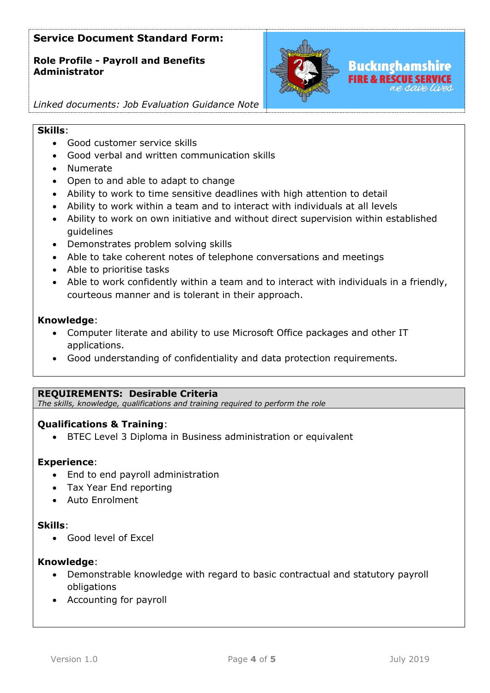**Role Profile - Payroll and Benefits Administrator**



# *Linked documents: Job Evaluation Guidance Note*

### **Skills**:

- Good customer service skills
- Good verbal and written communication skills
- Numerate
- Open to and able to adapt to change
- Ability to work to time sensitive deadlines with high attention to detail
- Ability to work within a team and to interact with individuals at all levels
- Ability to work on own initiative and without direct supervision within established guidelines
- Demonstrates problem solving skills
- Able to take coherent notes of telephone conversations and meetings
- Able to prioritise tasks
- Able to work confidently within a team and to interact with individuals in a friendly, courteous manner and is tolerant in their approach.

### **Knowledge**:

- Computer literate and ability to use Microsoft Office packages and other IT applications.
- Good understanding of confidentiality and data protection requirements.

# **REQUIREMENTS: Desirable Criteria**

*The skills, knowledge, qualifications and training required to perform the role*

# **Qualifications & Training**:

• BTEC Level 3 Diploma in Business administration or equivalent

#### **Experience**:

- End to end payroll administration
- Tax Year End reporting
- Auto Enrolment

#### **Skills**:

• Good level of Excel

# **Knowledge**:

- Demonstrable knowledge with regard to basic contractual and statutory payroll obligations
- Accounting for payroll